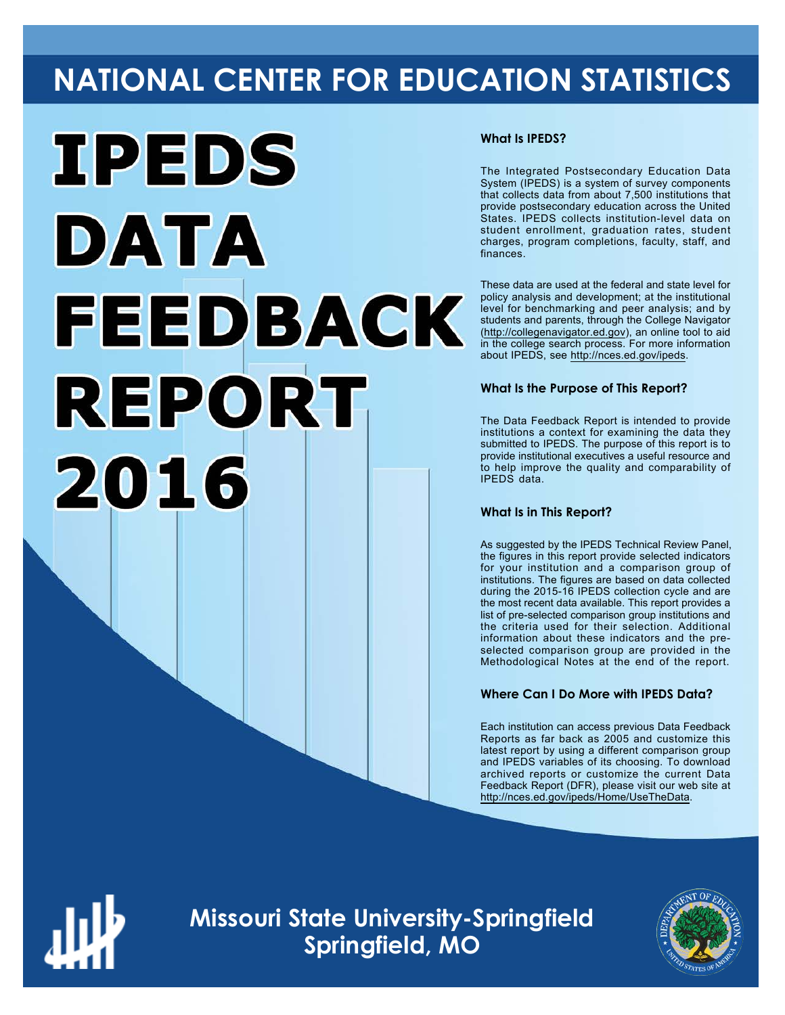# **NATIONAL CENTER FOR EDUCATION STATISTICS**



## **What Is IPEDS?**

The Integrated Postsecondary Education Data System (IPEDS) is a system of survey components that collects data from about 7,500 institutions that provide postsecondary education across the United States. IPEDS collects institution-level data on student enrollment, graduation rates, student charges, program completions, faculty, staff, and finances.

These data are used at the federal and state level for policy analysis and development; at the institutional level for benchmarking and peer analysis; and by students and parents, through the College Navigator (<http://collegenavigator.ed.gov>), an online tool to aid in the college search process. For more information about IPEDS, see [http://nces.ed.gov/ipeds.](http://nces.ed.gov/ipeds)

## **What Is the Purpose of This Report?**

The Data Feedback Report is intended to provide institutions a context for examining the data they submitted to IPEDS. The purpose of this report is to provide institutional executives a useful resource and to help improve the quality and comparability of IPEDS data.

### **What Is in This Report?**

As suggested by the IPEDS Technical Review Panel, the figures in this report provide selected indicators for your institution and a comparison group of institutions. The figures are based on data collected during the 2015-16 IPEDS collection cycle and are the most recent data available. This report provides a list of pre-selected comparison group institutions and the criteria used for their selection. Additional information about these indicators and the preselected comparison group are provided in the Methodological Notes at the end of the report.

# **Where Can I Do More with IPEDS Data?**

Each institution can access previous Data Feedback Reports as far back as 2005 and customize this latest report by using a different comparison group and IPEDS variables of its choosing. To download archived reports or customize the current Data Feedback Report (DFR), please visit our web site at <http://nces.ed.gov/ipeds/Home/UseTheData>.



**Missouri State University-Springfield Springfield, MO**

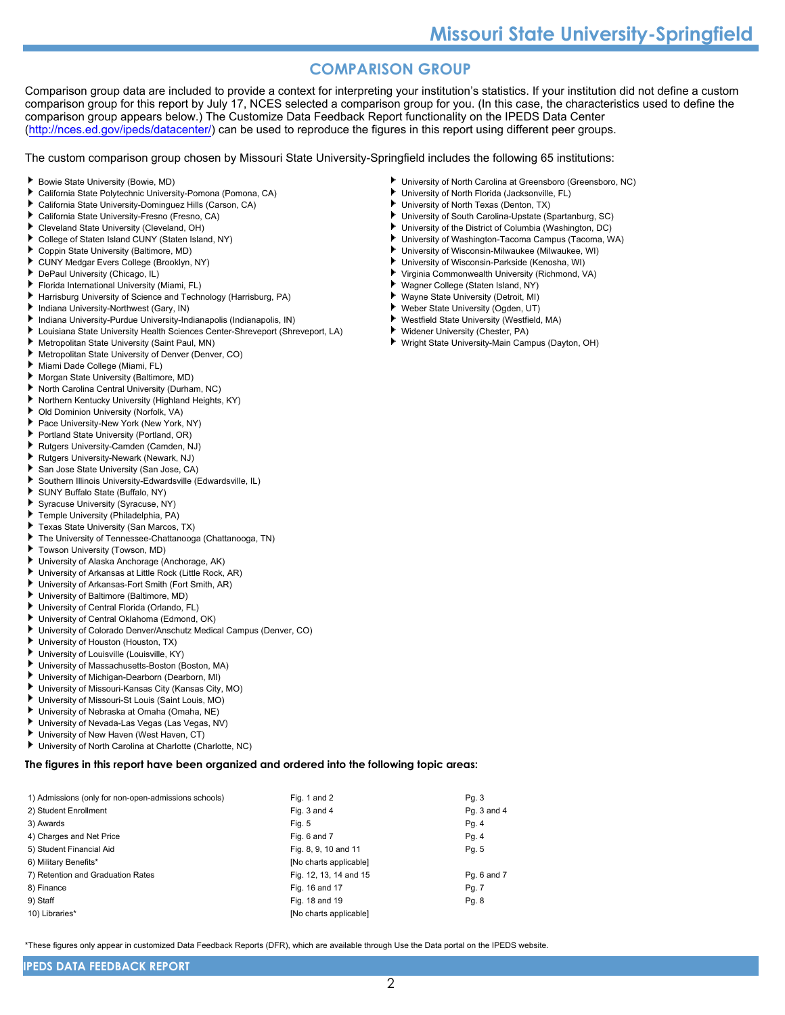# **COMPARISON GROUP**

Comparison group data are included to provide a context for interpreting your institution's statistics. If your institution did not define a custom comparison group for this report by July 17, NCES selected a comparison group for you. (In this case, the characteristics used to define the comparison group appears below.) The Customize Data Feedback Report functionality on the IPEDS Data Center [\(http://nces.ed.gov/ipeds/datacenter/\)](http://nces.ed.gov/ipeds/datacenter/) can be used to reproduce the figures in this report using different peer groups.

The custom comparison group chosen by Missouri State University-Springfield includes the following 65 institutions:

- Bowie State University (Bowie, MD)
- ь California State Polytechnic University-Pomona (Pomona, CA)
- California State University-Dominguez Hills (Carson, CA)
- California State University-Fresno (Fresno, CA)
- Cleveland State University (Cleveland, OH)
- ь College of Staten Island CUNY (Staten Island, NY)
- Coppin State University (Baltimore, MD)
- CUNY Medgar Evers College (Brooklyn, NY)
- DePaul University (Chicago, IL)
- Florida International University (Miami, FL)
- Harrisburg University of Science and Technology (Harrisburg, PA)
- Indiana University-Northwest (Gary, IN)
- Indiana University-Purdue University-Indianapolis (Indianapolis, IN)
- Louisiana State University Health Sciences Center-Shreveport (Shreveport, LA)
- Metropolitan State University (Saint Paul, MN)
- Metropolitan State University of Denver (Denver, CO)
- Miami Dade College (Miami, FL)
- Morgan State University (Baltimore, MD)
- North Carolina Central University (Durham, NC)
- Northern Kentucky University (Highland Heights, KY)
- Old Dominion University (Norfolk, VA)
- Pace University-New York (New York, NY)
- Portland State University (Portland, OR)
- Rutgers University-Camden (Camden, NJ)
- Rutgers University-Newark (Newark, NJ)
- San Jose State University (San Jose, CA)
- Southern Illinois University-Edwardsville (Edwardsville, IL)
- SUNY Buffalo State (Buffalo, NY)
- Syracuse University (Syracuse, NY)
- Temple University (Philadelphia, PA)
- Texas State University (San Marcos, TX)
- The University of Tennessee-Chattanooga (Chattanooga, TN) ٠
- Towson University (Towson, MD)
- University of Alaska Anchorage (Anchorage, AK)
- University of Arkansas at Little Rock (Little Rock, AR)
- University of Arkansas-Fort Smith (Fort Smith, AR)
- University of Baltimore (Baltimore, MD)
- University of Central Florida (Orlando, FL)
- University of Central Oklahoma (Edmond, OK)
- University of Colorado Denver/Anschutz Medical Campus (Denver, CO)
- University of Houston (Houston, TX)
- University of Louisville (Louisville, KY)
- University of Massachusetts-Boston (Boston, MA)
- University of Michigan-Dearborn (Dearborn, MI)
- University of Missouri-Kansas City (Kansas City, MO)
- University of Missouri-St Louis (Saint Louis, MO) ь
- University of Nebraska at Omaha (Omaha, NE)
- University of Nevada-Las Vegas (Las Vegas, NV)
- University of New Haven (West Haven, CT)
- University of North Carolina at Charlotte (Charlotte, NC)

#### **The figures in this report have been organized and ordered into the following topic areas:**

| 1) Admissions (only for non-open-admissions schools) | Fig. 1 and 2           | Pg. 3       |
|------------------------------------------------------|------------------------|-------------|
| 2) Student Enrollment                                | Fig. 3 and 4           | Pg. 3 and 4 |
| 3) Awards                                            | Fig. 5                 | Pg. 4       |
| 4) Charges and Net Price                             | Fig. 6 and 7           | Pg. 4       |
| 5) Student Financial Aid                             | Fig. 8, 9, 10 and 11   | Pg. 5       |
| 6) Military Benefits*                                | [No charts applicable] |             |
| 7) Retention and Graduation Rates                    | Fig. 12, 13, 14 and 15 | Pg. 6 and 7 |
| 8) Finance                                           | Fig. 16 and 17         | Pg. 7       |
| 9) Staff                                             | Fig. 18 and 19         | Pg. 8       |
| 10) Libraries*                                       | [No charts applicable] |             |

\*These figures only appear in customized Data Feedback Reports (DFR), which are available through Use the Data portal on the IPEDS website.

- University of North Carolina at Greensboro (Greensboro, NC)
- University of North Florida (Jacksonville, FL)
- University of North Texas (Denton, TX)
- University of South Carolina-Upstate (Spartanburg, SC)
- University of the District of Columbia (Washington, DC)
- University of Washington-Tacoma Campus (Tacoma, WA)
- University of Wisconsin-Milwaukee (Milwaukee, WI)
- University of Wisconsin-Parkside (Kenosha, WI) ٠ Virginia Commonwealth University (Richmond, VA)
- Wagner College (Staten Island, NY)
- 
- Wayne State University (Detroit, MI) ٠ Weber State University (Ogden, UT)
- Westfield State University (Westfield, MA)
- ь Widener University (Chester, PA)
- Wright State University-Main Campus (Dayton, OH)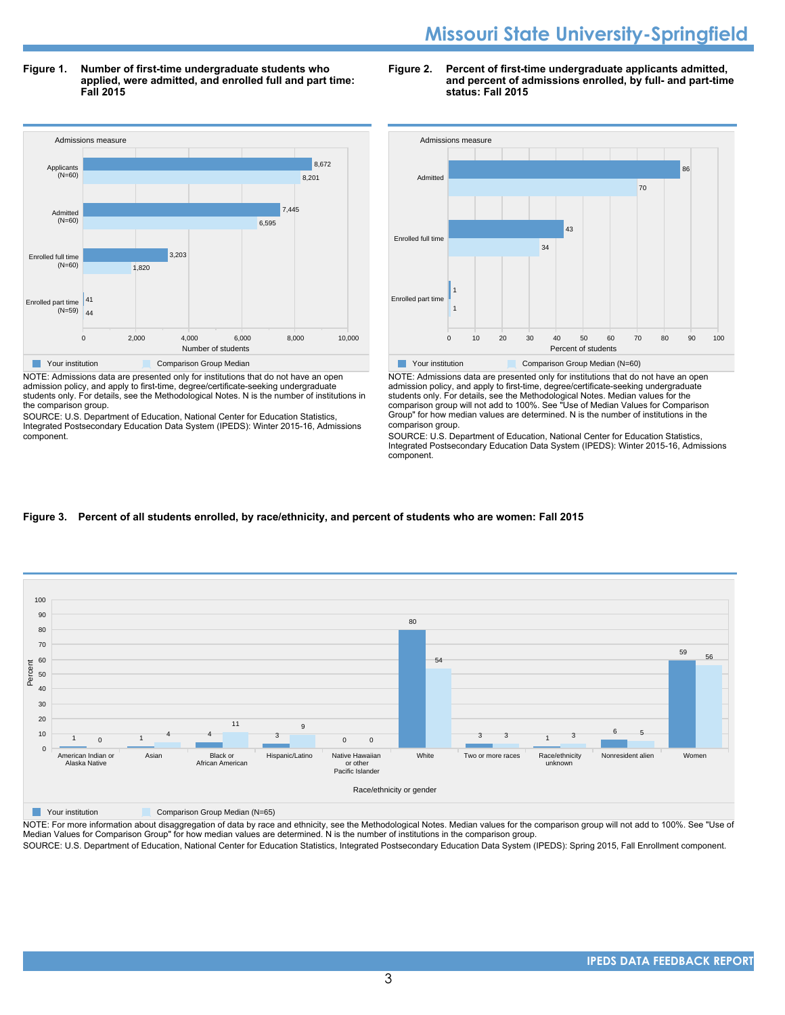# **Missouri State University-Springfield**

**Figure 1. Number of first-time undergraduate students who applied, were admitted, and enrolled full and part time: Fall 2015**



NOTE: Admissions data are presented only for institutions that do not have an open admission policy, and apply to first-time, degree/certificate-seeking undergraduate students only. For details, see the Methodological Notes. N is the number of institutions in the comparison group.

SOURCE: U.S. Department of Education, National Center for Education Statistics, Integrated Postsecondary Education Data System (IPEDS): Winter 2015-16, Admissions component.





NOTE: Admissions data are presented only for institutions that do not have an open admission policy, and apply to first-time, degree/certificate-seeking undergraduate students only. For details, see the Methodological Notes. Median values for the comparison group will not add to 100%. See "Use of Median Values for Comparison Group" for how median values are determined. N is the number of institutions in the comparison group.

SOURCE: U.S. Department of Education, National Center for Education Statistics, Integrated Postsecondary Education Data System (IPEDS): Winter 2015-16, Admissions component.

#### **Figure 3. Percent of all students enrolled, by race/ethnicity, and percent of students who are women: Fall 2015**



**The Comparison Group Median (N=65)** Comparison Group Median (N=65)

NOTE: For more information about disaggregation of data by race and ethnicity, see the Methodological Notes. Median values for the comparison group will not add to 100%. See "Use of Median Values for Comparison Group" for how median values are determined. N is the number of institutions in the comparison group.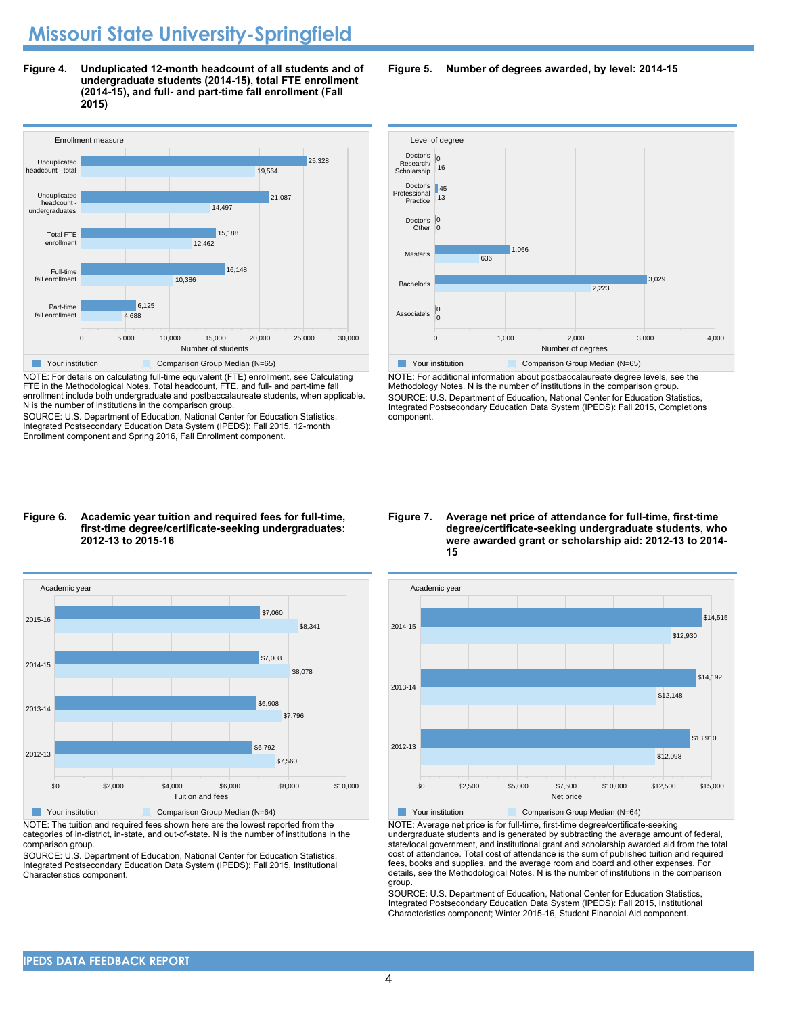**Figure 4. Unduplicated 12-month headcount of all students and of undergraduate students (2014-15), total FTE enrollment (2014-15), and full- and part-time fall enrollment (Fall 2015)**



NOTE: For details on calculating full-time equivalent (FTE) enrollment, see Calculating FTE in the Methodological Notes. Total headcount, FTE, and full- and part-time fall enrollment include both undergraduate and postbaccalaureate students, when applicable. N is the number of institutions in the comparison group.

SOURCE: U.S. Department of Education, National Center for Education Statistics, Integrated Postsecondary Education Data System (IPEDS): Fall 2015, 12-month Enrollment component and Spring 2016, Fall Enrollment component.

#### **Figure 6. Academic year tuition and required fees for full-time, first-time degree/certificate-seeking undergraduates: 2012-13 to 2015-16**



NOTE: The tuition and required fees shown here are the lowest reported from the categories of in-district, in-state, and out-of-state. N is the number of institutions in the comparison group.

SOURCE: U.S. Department of Education, National Center for Education Statistics, Integrated Postsecondary Education Data System (IPEDS): Fall 2015, Institutional Characteristics component.

**Figure 5. Number of degrees awarded, by level: 2014-15**



NOTE: For additional information about postbaccalaureate degree levels, see the Methodology Notes. N is the number of institutions in the comparison group. SOURCE: U.S. Department of Education, National Center for Education Statistics, Integrated Postsecondary Education Data System (IPEDS): Fall 2015, Completions component.

**Figure 7. Average net price of attendance for full-time, first-time degree/certificate-seeking undergraduate students, who were awarded grant or scholarship aid: 2012-13 to 2014- 15**



NOTE: Average net price is for full-time, first-time degree/certificate-seeking undergraduate students and is generated by subtracting the average amount of federal, state/local government, and institutional grant and scholarship awarded aid from the total cost of attendance. Total cost of attendance is the sum of published tuition and required fees, books and supplies, and the average room and board and other expenses. For details, see the Methodological Notes. N is the number of institutions in the comparison group.

SOURCE: U.S. Department of Education, National Center for Education Statistics, Integrated Postsecondary Education Data System (IPEDS): Fall 2015, Institutional Characteristics component; Winter 2015-16, Student Financial Aid component.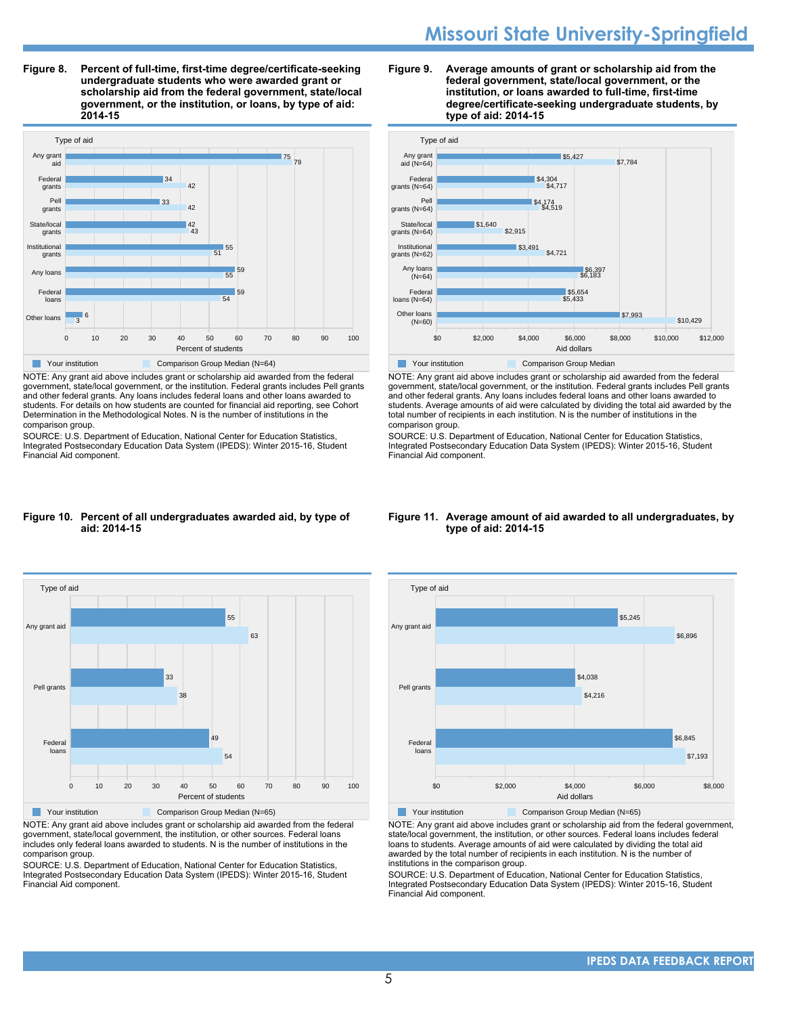# **Missouri State University-Springfield**

**Figure 8. Percent of full-time, first-time degree/certificate-seeking undergraduate students who were awarded grant or scholarship aid from the federal government, state/local government, or the institution, or loans, by type of aid: 2014-15**



NOTE: Any grant aid above includes grant or scholarship aid awarded from the federal government, state/local government, or the institution. Federal grants includes Pell grants and other federal grants. Any loans includes federal loans and other loans awarded to students. For details on how students are counted for financial aid reporting, see Cohort Determination in the Methodological Notes. N is the number of institutions in the comparison group.

SOURCE: U.S. Department of Education, National Center for Education Statistics, Integrated Postsecondary Education Data System (IPEDS): Winter 2015-16, Student Financial Aid component.

#### **Figure 9. Average amounts of grant or scholarship aid from the federal government, state/local government, or the institution, or loans awarded to full-time, first-time degree/certificate-seeking undergraduate students, by type of aid: 2014-15**



NOTE: Any grant aid above includes grant or scholarship aid awarded from the federal government, state/local government, or the institution. Federal grants includes Pell grants and other federal grants. Any loans includes federal loans and other loans awarded to students. Average amounts of aid were calculated by dividing the total aid awarded by the total number of recipients in each institution. N is the number of institutions in the comparison group.

SOURCE: U.S. Department of Education, National Center for Education Statistics, Integrated Postsecondary Education Data System (IPEDS): Winter 2015-16, Student Financial Aid component.

#### **Figure 10. Percent of all undergraduates awarded aid, by type of aid: 2014-15**



NOTE: Any grant aid above includes grant or scholarship aid awarded from the federal government, state/local government, the institution, or other sources. Federal loans includes only federal loans awarded to students. N is the number of institutions in the comparison group.

SOURCE: U.S. Department of Education, National Center for Education Statistics, Integrated Postsecondary Education Data System (IPEDS): Winter 2015-16, Student Financial Aid component.

#### **Figure 11. Average amount of aid awarded to all undergraduates, by type of aid: 2014-15**



NOTE: Any grant aid above includes grant or scholarship aid from the federal government, state/local government, the institution, or other sources. Federal loans includes federal loans to students. Average amounts of aid were calculated by dividing the total aid awarded by the total number of recipients in each institution. N is the number of institutions in the comparison group.

SOURCE: U.S. Department of Education, National Center for Education Statistics, Integrated Postsecondary Education Data System (IPEDS): Winter 2015-16, Student Financial Aid component.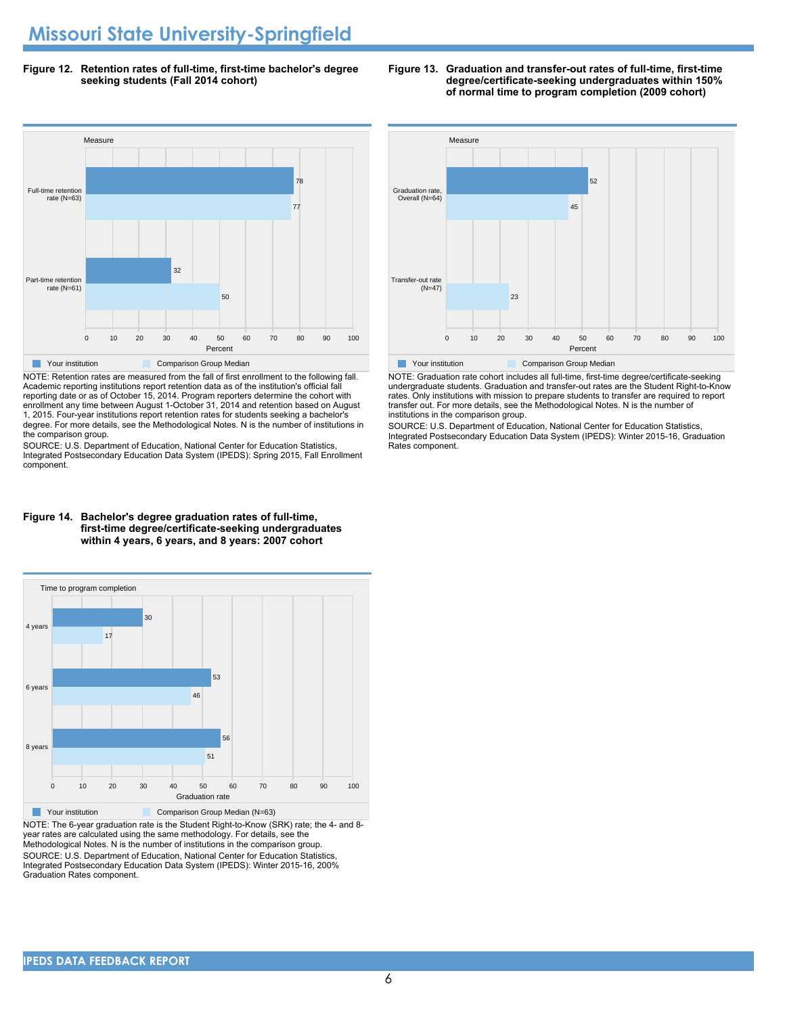**Figure 12. Retention rates of full-time, first-time bachelor's degree seeking students (Fall 2014 cohort)**



NOTE: Retention rates are measured from the fall of first enrollment to the following fall. Academic reporting institutions report retention data as of the institution's official fall reporting date or as of October 15, 2014. Program reporters determine the cohort with enrollment any time between August 1-October 31, 2014 and retention based on August 1, 2015. Four-year institutions report retention rates for students seeking a bachelor's degree. For more details, see the Methodological Notes. N is the number of institutions in the comparison group.

SOURCE: U.S. Department of Education, National Center for Education Statistics, Integrated Postsecondary Education Data System (IPEDS): Spring 2015, Fall Enrollment component.



**The Your institution Comparison Group Median** NOTE: Graduation rate cohort includes all full-time, first-time degree/certificate-seeking undergraduate students. Graduation and transfer-out rates are the Student Right-to-Know rates. Only institutions with mission to prepare students to transfer are required to report

transfer out. For more details, see the Methodological Notes. N is the number of institutions in the comparison group. SOURCE: U.S. Department of Education, National Center for Education Statistics, Integrated Postsecondary Education Data System (IPEDS): Winter 2015-16, Graduation

#### **Figure 14. Bachelor's degree graduation rates of full-time, first-time degree/certificate-seeking undergraduates within 4 years, 6 years, and 8 years: 2007 cohort**



NOTE: The 6-year graduation rate is the Student Right-to-Know (SRK) rate; the 4- and 8 year rates are calculated using the same methodology. For details, see the Methodological Notes. N is the number of institutions in the comparison group. SOURCE: U.S. Department of Education, National Center for Education Statistics, Integrated Postsecondary Education Data System (IPEDS): Winter 2015-16, 200% Graduation Rates component.

Measure

Rates component.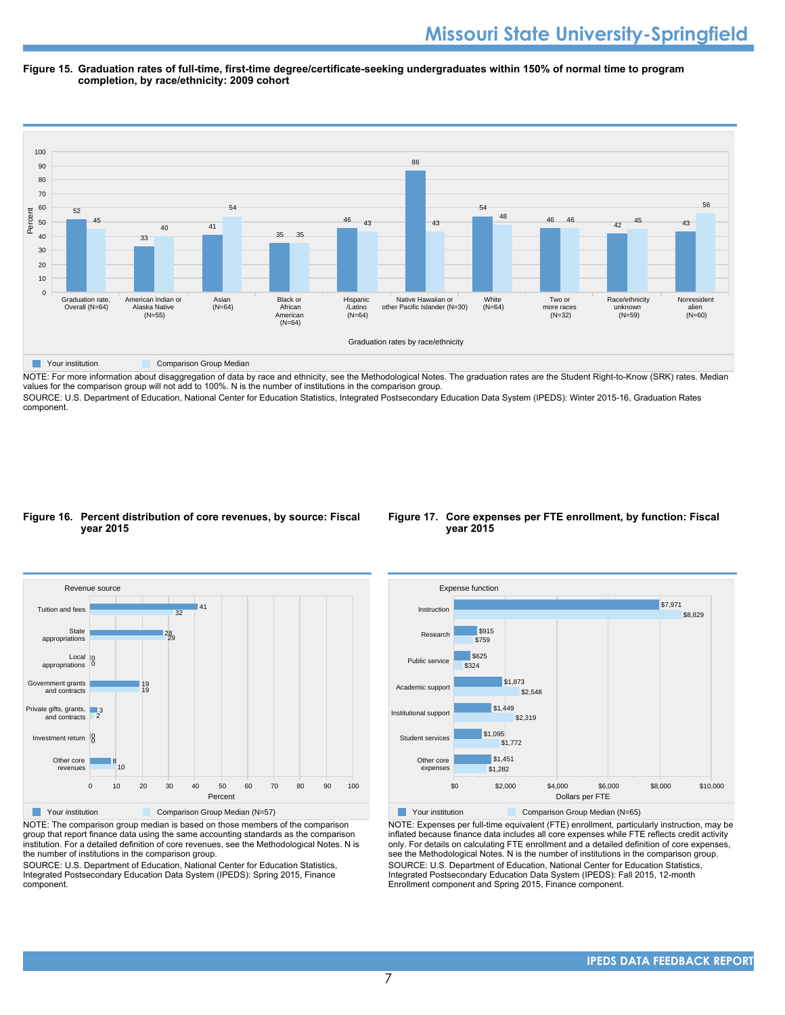#### **Figure 15. Graduation rates of full-time, first-time degree/certificate-seeking undergraduates within 150% of normal time to program completion, by race/ethnicity: 2009 cohort**



NOTE: For more information about disaggregation of data by race and ethnicity, see the Methodological Notes. The graduation rates are the Student Right-to-Know (SRK) rates. Median values for the comparison group will not add to 100%. N is the number of institutions in the comparison group.

SOURCE: U.S. Department of Education, National Center for Education Statistics, Integrated Postsecondary Education Data System (IPEDS): Winter 2015-16, Graduation Rates component.

#### **Figure 16. Percent distribution of core revenues, by source: Fiscal year 2015**



**The Comparison Group Median (N=57)** Comparison Group Median (N=57)

group that report finance data using the same accounting standards as the comparison institution. For a detailed definition of core revenues, see the Methodological Notes. N is the number of institutions in the comparison group.

SOURCE: U.S. Department of Education, National Center for Education Statistics, Integrated Postsecondary Education Data System (IPEDS): Spring 2015, Finance component.

#### **Figure 17. Core expenses per FTE enrollment, by function: Fiscal year 2015**



Your institution Comparison Group Median (N=65)

NOTE: Expenses per full-time equivalent (FTE) enrollment, particularly instruction, may be inflated because finance data includes all core expenses while FTE reflects credit activity only. For details on calculating FTE enrollment and a detailed definition of core expenses, see the Methodological Notes. N is the number of institutions in the comparison group. SOURCE: U.S. Department of Education, National Center for Education Statistics, Integrated Postsecondary Education Data System (IPEDS): Fall 2015, 12-month Enrollment component and Spring 2015, Finance component.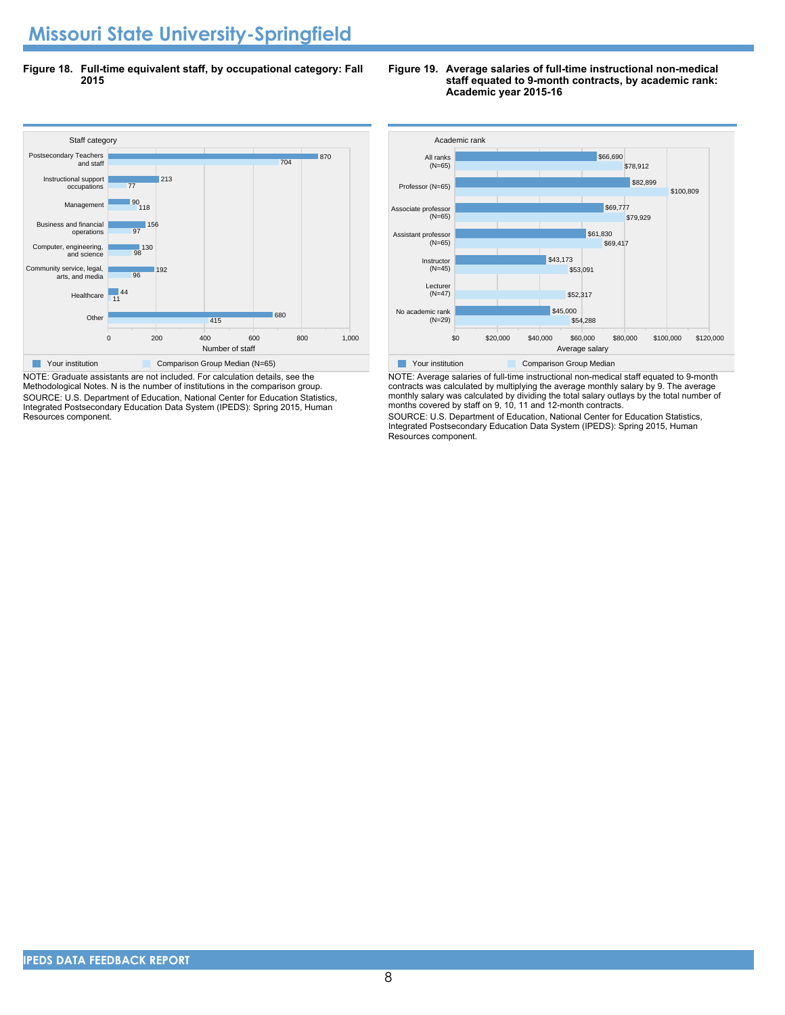# **Missouri State University-Springfield**

**Figure 18. Full-time equivalent staff, by occupational category: Fall 2015**



NOTE: Graduate assistants are not included. For calculation details, see the Methodological Notes. N is the number of institutions in the comparison group. SOURCE: U.S. Department of Education, National Center for Education Statistics, Integrated Postsecondary Education Data System (IPEDS): Spring 2015, Human Resources component.

#### **Figure 19. Average salaries of full-time instructional non-medical staff equated to 9-month contracts, by academic rank: Academic year 2015-16**



NOTE: Average salaries of full-time instructional non-medical staff equated to 9-month contracts was calculated by multiplying the average monthly salary by 9. The average monthly salary was calculated by dividing the total salary outlays by the total number of months covered by staff on 9, 10, 11 and 12-month contracts.

SOURCE: U.S. Department of Education, National Center for Education Statistics, Integrated Postsecondary Education Data System (IPEDS): Spring 2015, Human Resources component.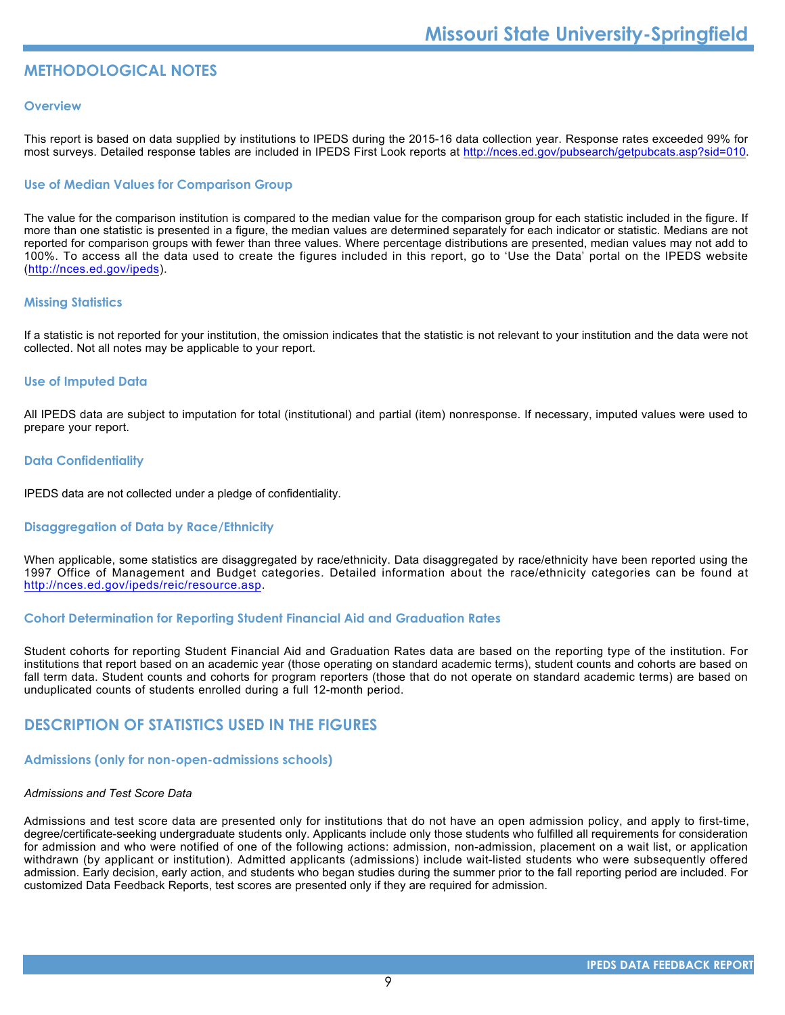# **METHODOLOGICAL NOTES**

#### **Overview**

This report is based on data supplied by institutions to IPEDS during the 2015-16 data collection year. Response rates exceeded 99% for most surveys. Detailed response tables are included in IPEDS First Look reports at [http://nces.ed.gov/pubsearch/getpubcats.asp?sid=010.](http://nces.ed.gov/pubsearch/getpubcats.asp?sid=010)

#### **Use of Median Values for Comparison Group**

The value for the comparison institution is compared to the median value for the comparison group for each statistic included in the figure. If more than one statistic is presented in a figure, the median values are determined separately for each indicator or statistic. Medians are not reported for comparison groups with fewer than three values. Where percentage distributions are presented, median values may not add to 100%. To access all the data used to create the figures included in this report, go to 'Use the Data' portal on the IPEDS website (<http://nces.ed.gov/ipeds>).

#### **Missing Statistics**

If a statistic is not reported for your institution, the omission indicates that the statistic is not relevant to your institution and the data were not collected. Not all notes may be applicable to your report.

#### **Use of Imputed Data**

All IPEDS data are subject to imputation for total (institutional) and partial (item) nonresponse. If necessary, imputed values were used to prepare your report.

#### **Data Confidentiality**

IPEDS data are not collected under a pledge of confidentiality.

#### **Disaggregation of Data by Race/Ethnicity**

When applicable, some statistics are disaggregated by race/ethnicity. Data disaggregated by race/ethnicity have been reported using the 1997 Office of Management and Budget categories. Detailed information about the race/ethnicity categories can be found at <http://nces.ed.gov/ipeds/reic/resource.asp>.

#### **Cohort Determination for Reporting Student Financial Aid and Graduation Rates**

Student cohorts for reporting Student Financial Aid and Graduation Rates data are based on the reporting type of the institution. For institutions that report based on an academic year (those operating on standard academic terms), student counts and cohorts are based on fall term data. Student counts and cohorts for program reporters (those that do not operate on standard academic terms) are based on unduplicated counts of students enrolled during a full 12-month period.

# **DESCRIPTION OF STATISTICS USED IN THE FIGURES**

#### **Admissions (only for non-open-admissions schools)**

#### *Admissions and Test Score Data*

Admissions and test score data are presented only for institutions that do not have an open admission policy, and apply to first-time, degree/certificate-seeking undergraduate students only. Applicants include only those students who fulfilled all requirements for consideration for admission and who were notified of one of the following actions: admission, non-admission, placement on a wait list, or application withdrawn (by applicant or institution). Admitted applicants (admissions) include wait-listed students who were subsequently offered admission. Early decision, early action, and students who began studies during the summer prior to the fall reporting period are included. For customized Data Feedback Reports, test scores are presented only if they are required for admission.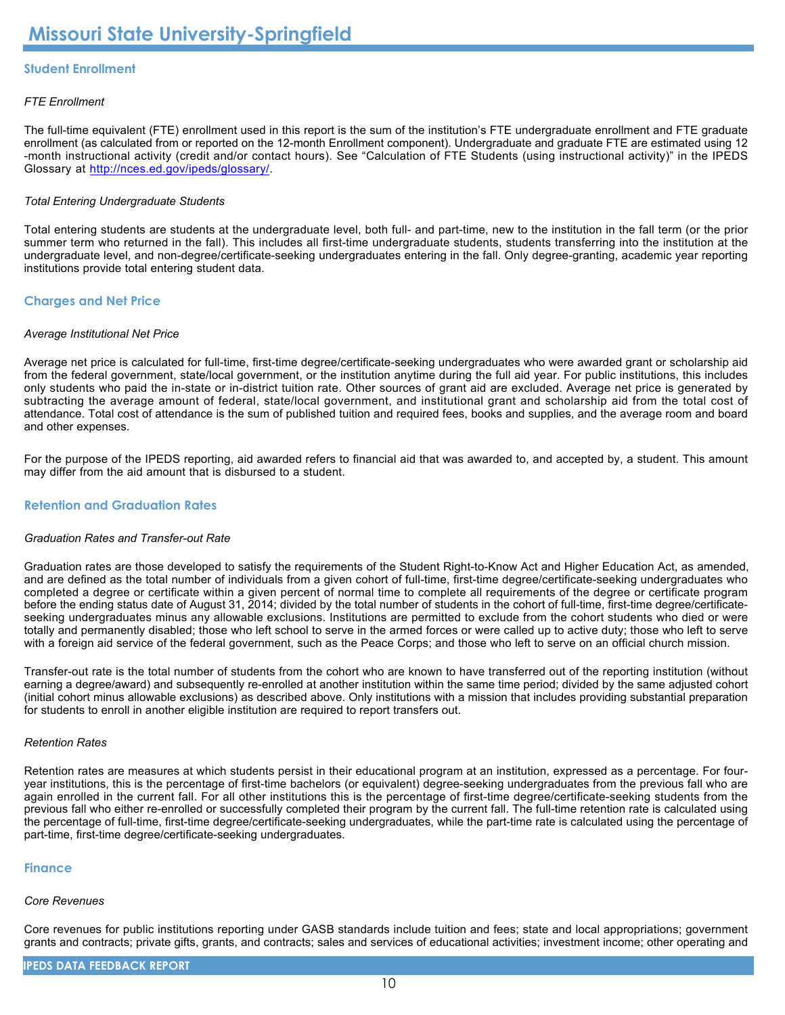### **Student Enrollment**

#### *FTE Enrollment*

The full-time equivalent (FTE) enrollment used in this report is the sum of the institution's FTE undergraduate enrollment and FTE graduate enrollment (as calculated from or reported on the 12-month Enrollment component). Undergraduate and graduate FTE are estimated using 12 -month instructional activity (credit and/or contact hours). See "Calculation of FTE Students (using instructional activity)" in the IPEDS Glossary at <http://nces.ed.gov/ipeds/glossary/>.

#### *Total Entering Undergraduate Students*

Total entering students are students at the undergraduate level, both full- and part-time, new to the institution in the fall term (or the prior summer term who returned in the fall). This includes all first-time undergraduate students, students transferring into the institution at the undergraduate level, and non-degree/certificate-seeking undergraduates entering in the fall. Only degree-granting, academic year reporting institutions provide total entering student data.

#### **Charges and Net Price**

#### *Average Institutional Net Price*

Average net price is calculated for full-time, first-time degree/certificate-seeking undergraduates who were awarded grant or scholarship aid from the federal government, state/local government, or the institution anytime during the full aid year. For public institutions, this includes only students who paid the in-state or in-district tuition rate. Other sources of grant aid are excluded. Average net price is generated by subtracting the average amount of federal, state/local government, and institutional grant and scholarship aid from the total cost of attendance. Total cost of attendance is the sum of published tuition and required fees, books and supplies, and the average room and board and other expenses.

For the purpose of the IPEDS reporting, aid awarded refers to financial aid that was awarded to, and accepted by, a student. This amount may differ from the aid amount that is disbursed to a student.

#### **Retention and Graduation Rates**

#### *Graduation Rates and Transfer-out Rate*

Graduation rates are those developed to satisfy the requirements of the Student Right-to-Know Act and Higher Education Act, as amended, and are defined as the total number of individuals from a given cohort of full-time, first-time degree/certificate-seeking undergraduates who completed a degree or certificate within a given percent of normal time to complete all requirements of the degree or certificate program before the ending status date of August 31, 2014; divided by the total number of students in the cohort of full-time, first-time degree/certificateseeking undergraduates minus any allowable exclusions. Institutions are permitted to exclude from the cohort students who died or were totally and permanently disabled; those who left school to serve in the armed forces or were called up to active duty; those who left to serve with a foreign aid service of the federal government, such as the Peace Corps; and those who left to serve on an official church mission.

Transfer-out rate is the total number of students from the cohort who are known to have transferred out of the reporting institution (without earning a degree/award) and subsequently re-enrolled at another institution within the same time period; divided by the same adjusted cohort (initial cohort minus allowable exclusions) as described above. Only institutions with a mission that includes providing substantial preparation for students to enroll in another eligible institution are required to report transfers out.

#### *Retention Rates*

Retention rates are measures at which students persist in their educational program at an institution, expressed as a percentage. For fouryear institutions, this is the percentage of first-time bachelors (or equivalent) degree-seeking undergraduates from the previous fall who are again enrolled in the current fall. For all other institutions this is the percentage of first-time degree/certificate-seeking students from the previous fall who either re-enrolled or successfully completed their program by the current fall. The full-time retention rate is calculated using the percentage of full-time, first-time degree/certificate-seeking undergraduates, while the part-time rate is calculated using the percentage of part-time, first-time degree/certificate-seeking undergraduates.

#### **Finance**

#### *Core Revenues*

Core revenues for public institutions reporting under GASB standards include tuition and fees; state and local appropriations; government grants and contracts; private gifts, grants, and contracts; sales and services of educational activities; investment income; other operating and